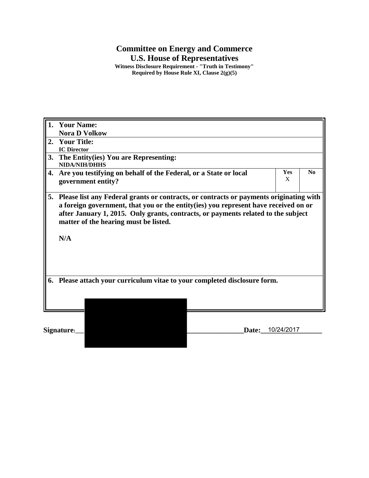## **Committee on Energy and Commerce**

**U.S. House of Representatives**

**Witness Disclosure Requirement - "Truth in Testimony" Required by House Rule XI, Clause 2(g)(5)**

| <b>Your Name:</b><br>1.                                                      |                                                                                                                                                                                                                                                                                                             |  |                  |                |
|------------------------------------------------------------------------------|-------------------------------------------------------------------------------------------------------------------------------------------------------------------------------------------------------------------------------------------------------------------------------------------------------------|--|------------------|----------------|
|                                                                              | <b>Nora D Volkow</b>                                                                                                                                                                                                                                                                                        |  |                  |                |
| 2.                                                                           | <b>Your Title:</b>                                                                                                                                                                                                                                                                                          |  |                  |                |
|                                                                              | <b>IC Director</b>                                                                                                                                                                                                                                                                                          |  |                  |                |
| 3.                                                                           | The Entity(ies) You are Representing:                                                                                                                                                                                                                                                                       |  |                  |                |
|                                                                              | <b>NIDA/NIH/DHHS</b>                                                                                                                                                                                                                                                                                        |  |                  |                |
| 4.                                                                           | Are you testifying on behalf of the Federal, or a State or local<br>government entity?                                                                                                                                                                                                                      |  | <b>Yes</b><br>X  | N <sub>0</sub> |
|                                                                              |                                                                                                                                                                                                                                                                                                             |  |                  |                |
| 5.                                                                           | Please list any Federal grants or contracts, or contracts or payments originating with<br>a foreign government, that you or the entity(ies) you represent have received on or<br>after January 1, 2015. Only grants, contracts, or payments related to the subject<br>matter of the hearing must be listed. |  |                  |                |
|                                                                              |                                                                                                                                                                                                                                                                                                             |  |                  |                |
|                                                                              |                                                                                                                                                                                                                                                                                                             |  |                  |                |
|                                                                              | N/A                                                                                                                                                                                                                                                                                                         |  |                  |                |
|                                                                              |                                                                                                                                                                                                                                                                                                             |  |                  |                |
| Please attach your curriculum vitae to your completed disclosure form.<br>6. |                                                                                                                                                                                                                                                                                                             |  |                  |                |
|                                                                              |                                                                                                                                                                                                                                                                                                             |  |                  |                |
|                                                                              |                                                                                                                                                                                                                                                                                                             |  |                  |                |
|                                                                              |                                                                                                                                                                                                                                                                                                             |  |                  |                |
|                                                                              |                                                                                                                                                                                                                                                                                                             |  |                  |                |
|                                                                              |                                                                                                                                                                                                                                                                                                             |  |                  |                |
| Signature:                                                                   |                                                                                                                                                                                                                                                                                                             |  | Date: 10/24/2017 |                |